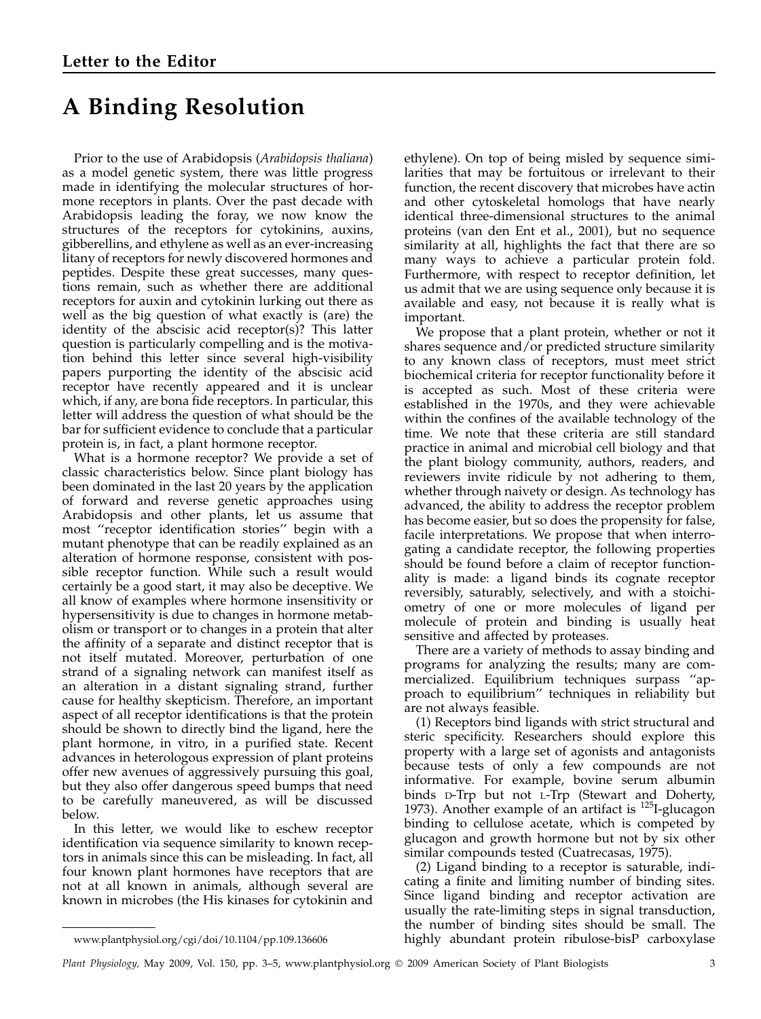# A Binding Resolution

Prior to the use of Arabidopsis (Arabidopsis thaliana) as a model genetic system, there was little progress made in identifying the molecular structures of hormone receptors in plants. Over the past decade with Arabidopsis leading the foray, we now know the structures of the receptors for cytokinins, auxins, gibberellins, and ethylene as well as an ever-increasing litany of receptors for newly discovered hormones and peptides. Despite these great successes, many questions remain, such as whether there are additional receptors for auxin and cytokinin lurking out there as well as the big question of what exactly is (are) the identity of the abscisic acid receptor(s)? This latter question is particularly compelling and is the motivation behind this letter since several high-visibility papers purporting the identity of the abscisic acid receptor have recently appeared and it is unclear which, if any, are bona fide receptors. In particular, this letter will address the question of what should be the bar for sufficient evidence to conclude that a particular protein is, in fact, a plant hormone receptor.

What is a hormone receptor? We provide a set of classic characteristics below. Since plant biology has been dominated in the last 20 years by the application of forward and reverse genetic approaches using Arabidopsis and other plants, let us assume that most ''receptor identification stories'' begin with a mutant phenotype that can be readily explained as an alteration of hormone response, consistent with possible receptor function. While such a result would certainly be a good start, it may also be deceptive. We all know of examples where hormone insensitivity or hypersensitivity is due to changes in hormone metabolism or transport or to changes in a protein that alter the affinity of a separate and distinct receptor that is not itself mutated. Moreover, perturbation of one strand of a signaling network can manifest itself as an alteration in a distant signaling strand, further cause for healthy skepticism. Therefore, an important aspect of all receptor identifications is that the protein should be shown to directly bind the ligand, here the plant hormone, in vitro, in a purified state. Recent advances in heterologous expression of plant proteins offer new avenues of aggressively pursuing this goal, but they also offer dangerous speed bumps that need to be carefully maneuvered, as will be discussed below.

In this letter, we would like to eschew receptor identification via sequence similarity to known receptors in animals since this can be misleading. In fact, all four known plant hormones have receptors that are not at all known in animals, although several are known in microbes (the His kinases for cytokinin and

ethylene). On top of being misled by sequence similarities that may be fortuitous or irrelevant to their function, the recent discovery that microbes have actin and other cytoskeletal homologs that have nearly identical three-dimensional structures to the animal proteins (van den Ent et al., 2001), but no sequence similarity at all, highlights the fact that there are so many ways to achieve a particular protein fold. Furthermore, with respect to receptor definition, let us admit that we are using sequence only because it is available and easy, not because it is really what is important.

We propose that a plant protein, whether or not it shares sequence and/or predicted structure similarity to any known class of receptors, must meet strict biochemical criteria for receptor functionality before it is accepted as such. Most of these criteria were established in the 1970s, and they were achievable within the confines of the available technology of the time. We note that these criteria are still standard practice in animal and microbial cell biology and that the plant biology community, authors, readers, and reviewers invite ridicule by not adhering to them, whether through naivety or design. As technology has advanced, the ability to address the receptor problem has become easier, but so does the propensity for false, facile interpretations. We propose that when interrogating a candidate receptor, the following properties should be found before a claim of receptor functionality is made: a ligand binds its cognate receptor reversibly, saturably, selectively, and with a stoichiometry of one or more molecules of ligand per molecule of protein and binding is usually heat sensitive and affected by proteases.

There are a variety of methods to assay binding and programs for analyzing the results; many are commercialized. Equilibrium techniques surpass ''approach to equilibrium'' techniques in reliability but are not always feasible.

(1) Receptors bind ligands with strict structural and steric specificity. Researchers should explore this property with a large set of agonists and antagonists because tests of only a few compounds are not informative. For example, bovine serum albumin binds D-Trp but not L-Trp (Stewart and Doherty, 1973). Another example of an artifact is  $^{125}$ I-glucagon binding to cellulose acetate, which is competed by glucagon and growth hormone but not by six other similar compounds tested (Cuatrecasas, 1975).

(2) Ligand binding to a receptor is saturable, indicating a finite and limiting number of binding sites. Since ligand binding and receptor activation are usually the rate-limiting steps in signal transduction, the number of binding sites should be small. The www.plantphysiol.org/cgi/doi/10.1104/pp.109.136606 highly abundant protein ribulose-bisP carboxylase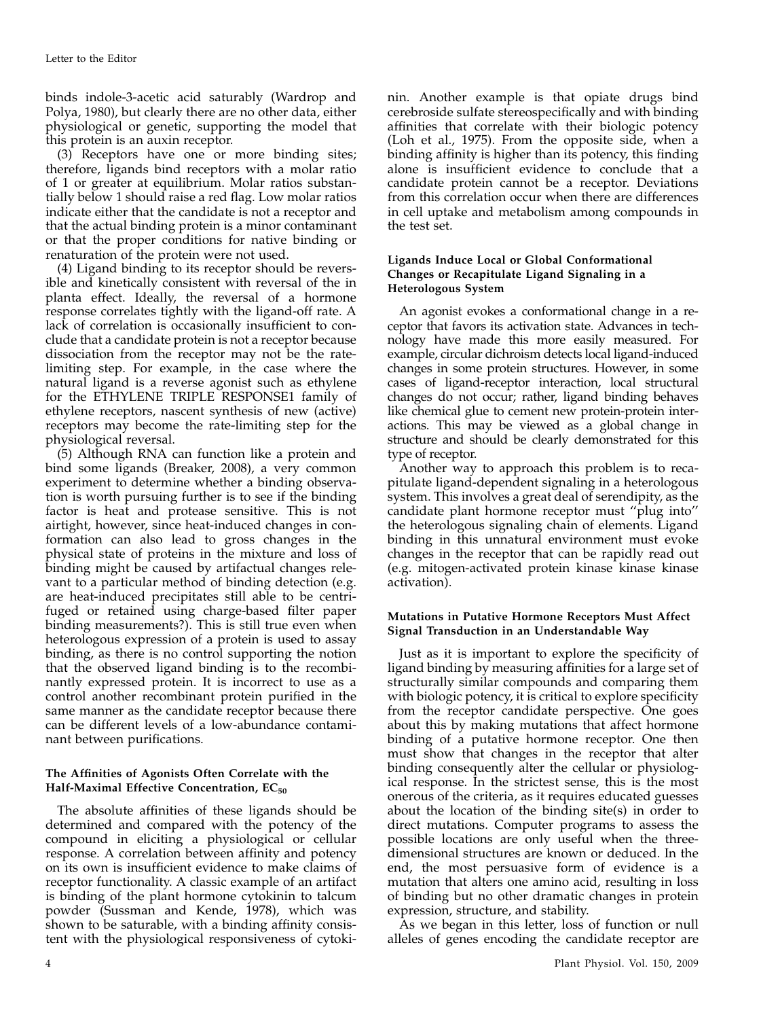binds indole-3-acetic acid saturably (Wardrop and Polya, 1980), but clearly there are no other data, either physiological or genetic, supporting the model that this protein is an auxin receptor.

(3) Receptors have one or more binding sites; therefore, ligands bind receptors with a molar ratio of 1 or greater at equilibrium. Molar ratios substantially below 1 should raise a red flag. Low molar ratios indicate either that the candidate is not a receptor and that the actual binding protein is a minor contaminant or that the proper conditions for native binding or renaturation of the protein were not used.

(4) Ligand binding to its receptor should be reversible and kinetically consistent with reversal of the in planta effect. Ideally, the reversal of a hormone response correlates tightly with the ligand-off rate. A lack of correlation is occasionally insufficient to conclude that a candidate protein is not a receptor because dissociation from the receptor may not be the ratelimiting step. For example, in the case where the natural ligand is a reverse agonist such as ethylene for the ETHYLENE TRIPLE RESPONSE1 family of ethylene receptors, nascent synthesis of new (active) receptors may become the rate-limiting step for the physiological reversal.

(5) Although RNA can function like a protein and bind some ligands (Breaker, 2008), a very common experiment to determine whether a binding observation is worth pursuing further is to see if the binding factor is heat and protease sensitive. This is not airtight, however, since heat-induced changes in conformation can also lead to gross changes in the physical state of proteins in the mixture and loss of binding might be caused by artifactual changes relevant to a particular method of binding detection (e.g. are heat-induced precipitates still able to be centrifuged or retained using charge-based filter paper binding measurements?). This is still true even when heterologous expression of a protein is used to assay binding, as there is no control supporting the notion that the observed ligand binding is to the recombinantly expressed protein. It is incorrect to use as a control another recombinant protein purified in the same manner as the candidate receptor because there can be different levels of a low-abundance contaminant between purifications.

# The Affinities of Agonists Often Correlate with the Half-Maximal Effective Concentration,  $EC_{50}$

The absolute affinities of these ligands should be determined and compared with the potency of the compound in eliciting a physiological or cellular response. A correlation between affinity and potency on its own is insufficient evidence to make claims of receptor functionality. A classic example of an artifact is binding of the plant hormone cytokinin to talcum powder (Sussman and Kende, 1978), which was shown to be saturable, with a binding affinity consistent with the physiological responsiveness of cytokinin. Another example is that opiate drugs bind cerebroside sulfate stereospecifically and with binding affinities that correlate with their biologic potency (Loh et al., 1975). From the opposite side, when a binding affinity is higher than its potency, this finding alone is insufficient evidence to conclude that a candidate protein cannot be a receptor. Deviations from this correlation occur when there are differences in cell uptake and metabolism among compounds in the test set.

# Ligands Induce Local or Global Conformational Changes or Recapitulate Ligand Signaling in a Heterologous System

An agonist evokes a conformational change in a receptor that favors its activation state. Advances in technology have made this more easily measured. For example, circular dichroism detects local ligand-induced changes in some protein structures. However, in some cases of ligand-receptor interaction, local structural changes do not occur; rather, ligand binding behaves like chemical glue to cement new protein-protein interactions. This may be viewed as a global change in structure and should be clearly demonstrated for this type of receptor.

Another way to approach this problem is to recapitulate ligand-dependent signaling in a heterologous system. This involves a great deal of serendipity, as the candidate plant hormone receptor must ''plug into'' the heterologous signaling chain of elements. Ligand binding in this unnatural environment must evoke changes in the receptor that can be rapidly read out (e.g. mitogen-activated protein kinase kinase kinase activation).

### Mutations in Putative Hormone Receptors Must Affect Signal Transduction in an Understandable Way

Just as it is important to explore the specificity of ligand binding by measuring affinities for a large set of structurally similar compounds and comparing them with biologic potency, it is critical to explore specificity from the receptor candidate perspective. One goes about this by making mutations that affect hormone binding of a putative hormone receptor. One then must show that changes in the receptor that alter binding consequently alter the cellular or physiological response. In the strictest sense, this is the most onerous of the criteria, as it requires educated guesses about the location of the binding site(s) in order to direct mutations. Computer programs to assess the possible locations are only useful when the threedimensional structures are known or deduced. In the end, the most persuasive form of evidence is a mutation that alters one amino acid, resulting in loss of binding but no other dramatic changes in protein expression, structure, and stability.

As we began in this letter, loss of function or null alleles of genes encoding the candidate receptor are